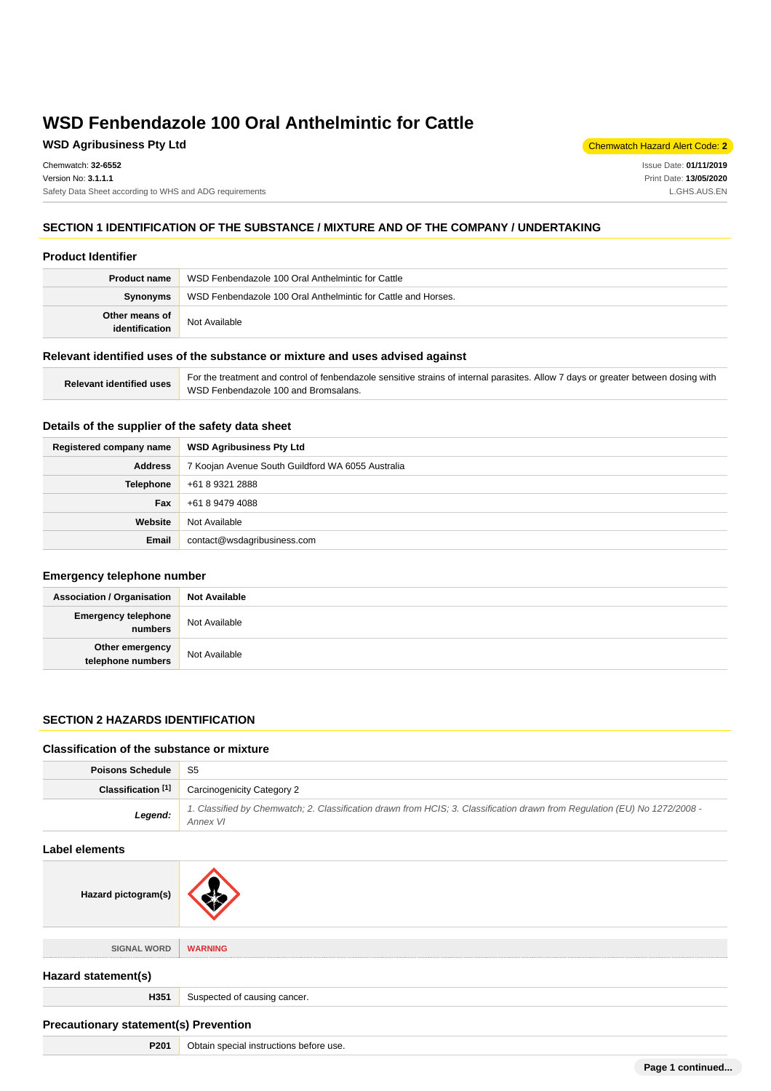## **WSD Agribusiness Pty Ltd** Chemwatch Hazard Alert Code: **2**

Chemwatch: **32-6552** Version No: **3.1.1.1** Safety Data Sheet according to WHS and ADG requirements

Issue Date: **01/11/2019** Print Date: **13/05/2020** L.GHS.AUS.EN

## **SECTION 1 IDENTIFICATION OF THE SUBSTANCE / MIXTURE AND OF THE COMPANY / UNDERTAKING**

#### **Product Identifier**

| <b>Product name</b>              | WSD Fenbendazole 100 Oral Anthelmintic for Cattle             |  |
|----------------------------------|---------------------------------------------------------------|--|
| Synonyms                         | WSD Fenbendazole 100 Oral Anthelmintic for Cattle and Horses. |  |
| Other means of<br>identification | Not Available                                                 |  |

#### **Relevant identified uses of the substance or mixture and uses advised against**

| <b>Relevant identified uses</b> | For the treatment and control of fenbendazole sensitive strains of internal parasites. Allow 7 days or greater between dosing with |
|---------------------------------|------------------------------------------------------------------------------------------------------------------------------------|
|                                 | WSD Fenbendazole 100 and Bromsalans.                                                                                               |

## **Details of the supplier of the safety data sheet**

| Registered company name | <b>WSD Agribusiness Pty Ltd</b>                   |  |
|-------------------------|---------------------------------------------------|--|
| <b>Address</b>          | 7 Koojan Avenue South Guildford WA 6055 Australia |  |
| Telephone               | +61 8 9321 2888                                   |  |
| Fax                     | +61 8 9479 4088                                   |  |
| Website                 | Not Available                                     |  |
| Email                   | contact@wsdagribusiness.com                       |  |

### **Emergency telephone number**

| <b>Association / Organisation</b>     | <b>Not Available</b> |
|---------------------------------------|----------------------|
| <b>Emergency telephone</b><br>numbers | Not Available        |
| Other emergency<br>telephone numbers  | Not Available        |

### **SECTION 2 HAZARDS IDENTIFICATION**

#### **Classification of the substance or mixture**

Hazard pictogram(s)

| <b>Poisons Schedule</b> | S5                                                                                                                                     |  |  |  |
|-------------------------|----------------------------------------------------------------------------------------------------------------------------------------|--|--|--|
| Classification [1]      | <b>Carcinogenicity Category 2</b>                                                                                                      |  |  |  |
| Legend:                 | 1. Classified by Chemwatch; 2. Classification drawn from HCIS; 3. Classification drawn from Regulation (EU) No 1272/2008 -<br>Annex VI |  |  |  |
| Label elements          |                                                                                                                                        |  |  |  |
|                         |                                                                                                                                        |  |  |  |

| SIGNAL WORD         | <b>WARNING</b>               |  |  |
|---------------------|------------------------------|--|--|
| Hazard statement(s) |                              |  |  |
| H351                | Suspected of causing cancer. |  |  |
|                     |                              |  |  |

## **Precautionary statement(s) Prevention**

| P201 | Obtain special instructions before use. |
|------|-----------------------------------------|
|------|-----------------------------------------|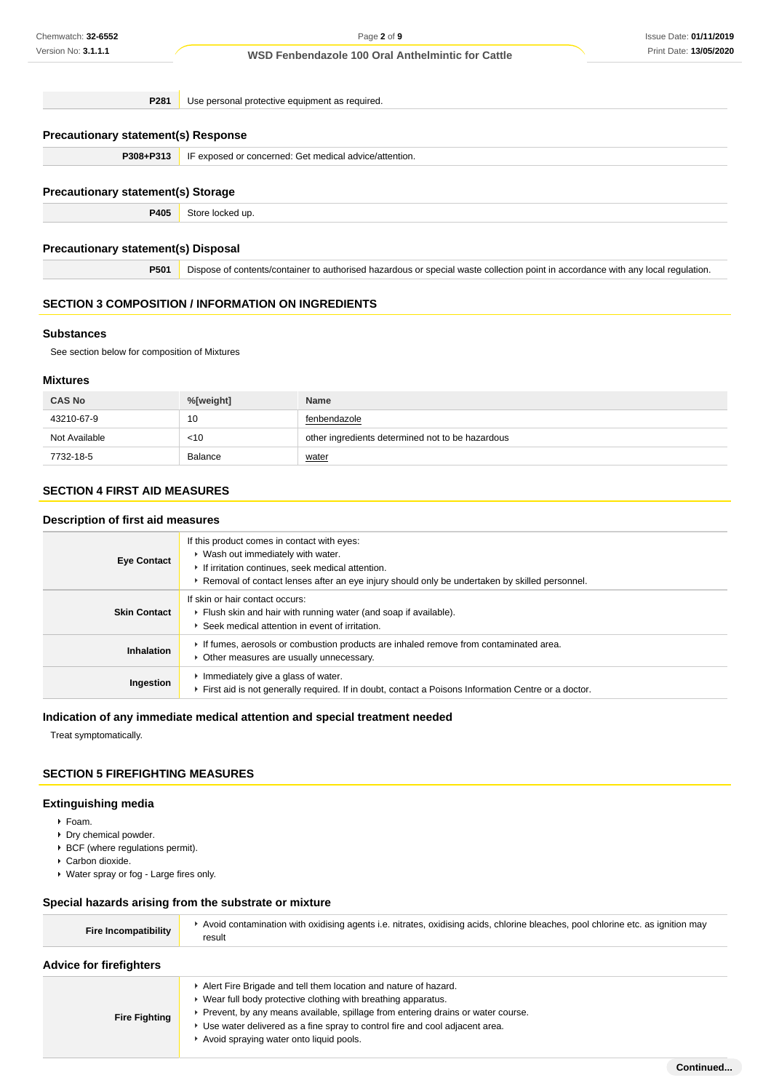**P281** Use personal protective equipment as required.

## **Precautionary statement(s) Response**

**P308+P313** IF exposed or concerned: Get medical advice/attention.

### **Precautionary statement(s) Storage**

**P405** Store locked up.

### **Precautionary statement(s) Disposal**

**P501** Dispose of contents/container to authorised hazardous or special waste collection point in accordance with any local regulation.

## **SECTION 3 COMPOSITION / INFORMATION ON INGREDIENTS**

### **Substances**

See section below for composition of Mixtures

### **Mixtures**

| <b>CAS No</b> | %[weight] | <b>Name</b>                                      |
|---------------|-----------|--------------------------------------------------|
| 43210-67-9    | 10        | fenbendazole                                     |
| Not Available | $<$ 10    | other ingredients determined not to be hazardous |
| 7732-18-5     | Balance   | water                                            |

## **SECTION 4 FIRST AID MEASURES**

### **Description of first aid measures**

| <b>Eye Contact</b>  | If this product comes in contact with eyes:<br>▶ Wash out immediately with water.<br>If irritation continues, seek medical attention.<br>► Removal of contact lenses after an eye injury should only be undertaken by skilled personnel. |
|---------------------|------------------------------------------------------------------------------------------------------------------------------------------------------------------------------------------------------------------------------------------|
| <b>Skin Contact</b> | If skin or hair contact occurs:<br>Flush skin and hair with running water (and soap if available).<br>Seek medical attention in event of irritation.                                                                                     |
| Inhalation          | If fumes, aerosols or combustion products are inhaled remove from contaminated area.<br>Other measures are usually unnecessary.                                                                                                          |
| Ingestion           | Inmediately give a glass of water.<br>First aid is not generally required. If in doubt, contact a Poisons Information Centre or a doctor.                                                                                                |

### **Indication of any immediate medical attention and special treatment needed**

Treat symptomatically.

## **SECTION 5 FIREFIGHTING MEASURES**

## **Extinguishing media**

- Foam.
- Dry chemical powder.
- $\cdot$  BCF (where regulations permit).
- Carbon dioxide.
- Water spray or fog Large fires only.

## **Special hazards arising from the substrate or mixture**

|  |  | <b>Advice for firefighters</b> |
|--|--|--------------------------------|
|--|--|--------------------------------|

|                      | Alert Fire Brigade and tell them location and nature of hazard.                   |
|----------------------|-----------------------------------------------------------------------------------|
| <b>Fire Fighting</b> | ► Wear full body protective clothing with breathing apparatus.                    |
|                      | • Prevent, by any means available, spillage from entering drains or water course. |
|                      | ► Use water delivered as a fine spray to control fire and cool adjacent area.     |
|                      | Avoid spraying water onto liquid pools.                                           |
|                      |                                                                                   |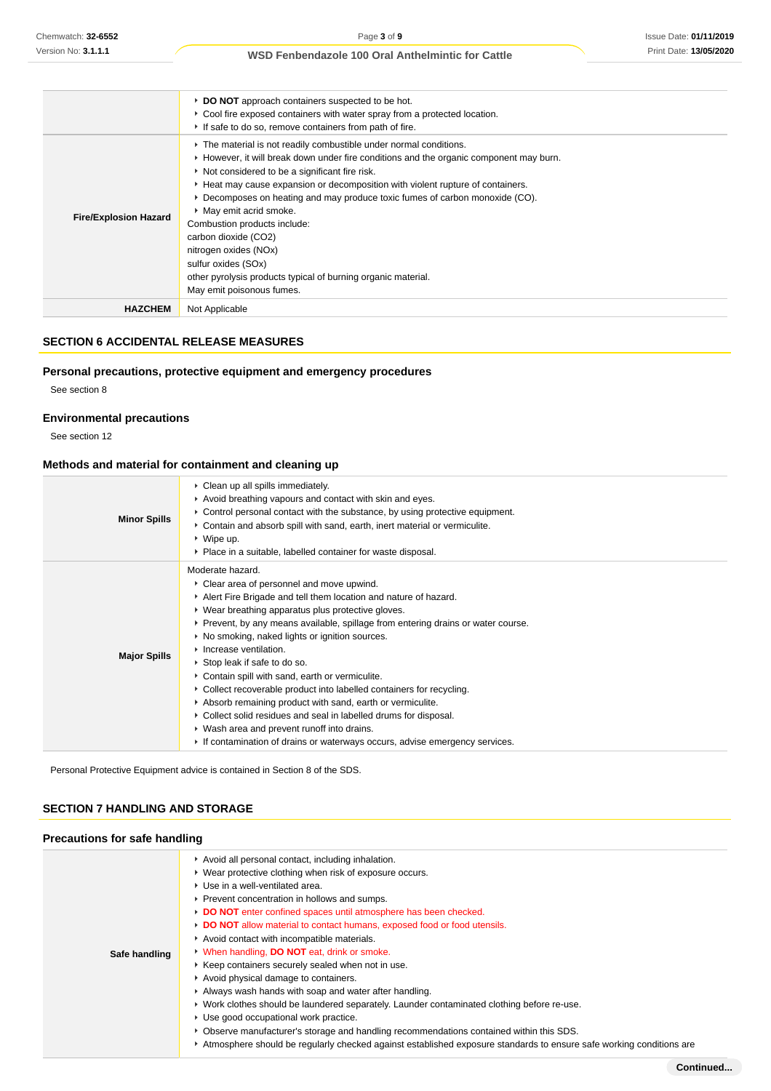|                              | DO NOT approach containers suspected to be hot.<br>• Cool fire exposed containers with water spray from a protected location.<br>If safe to do so, remove containers from path of fire.                                                                                                                                                                                                                                                                                                                                                                                                                          |
|------------------------------|------------------------------------------------------------------------------------------------------------------------------------------------------------------------------------------------------------------------------------------------------------------------------------------------------------------------------------------------------------------------------------------------------------------------------------------------------------------------------------------------------------------------------------------------------------------------------------------------------------------|
| <b>Fire/Explosion Hazard</b> | The material is not readily combustible under normal conditions.<br>▶ However, it will break down under fire conditions and the organic component may burn.<br>Not considered to be a significant fire risk.<br>► Heat may cause expansion or decomposition with violent rupture of containers.<br>▶ Decomposes on heating and may produce toxic fumes of carbon monoxide (CO).<br>• May emit acrid smoke.<br>Combustion products include:<br>carbon dioxide (CO2)<br>nitrogen oxides (NOx)<br>sulfur oxides (SOx)<br>other pyrolysis products typical of burning organic material.<br>May emit poisonous fumes. |
| <b>HAZCHEM</b>               | Not Applicable                                                                                                                                                                                                                                                                                                                                                                                                                                                                                                                                                                                                   |

## **SECTION 6 ACCIDENTAL RELEASE MEASURES**

## **Personal precautions, protective equipment and emergency procedures**

See section 8

## **Environmental precautions**

See section 12

## **Methods and material for containment and cleaning up**

| <b>Minor Spills</b> | • Clean up all spills immediately.<br>Avoid breathing vapours and contact with skin and eyes.<br>► Control personal contact with the substance, by using protective equipment.<br>Contain and absorb spill with sand, earth, inert material or vermiculite.<br>$\triangleright$ Wipe up.<br>• Place in a suitable, labelled container for waste disposal.                                                                                                                                                                                                                                                                                                                                                                                                                             |
|---------------------|---------------------------------------------------------------------------------------------------------------------------------------------------------------------------------------------------------------------------------------------------------------------------------------------------------------------------------------------------------------------------------------------------------------------------------------------------------------------------------------------------------------------------------------------------------------------------------------------------------------------------------------------------------------------------------------------------------------------------------------------------------------------------------------|
| <b>Major Spills</b> | Moderate hazard.<br>• Clear area of personnel and move upwind.<br>Alert Fire Brigade and tell them location and nature of hazard.<br>• Wear breathing apparatus plus protective gloves.<br>► Prevent, by any means available, spillage from entering drains or water course.<br>• No smoking, naked lights or ignition sources.<br>• Increase ventilation.<br>▶ Stop leak if safe to do so.<br>Contain spill with sand, earth or vermiculite.<br>• Collect recoverable product into labelled containers for recycling.<br>Absorb remaining product with sand, earth or vermiculite.<br>• Collect solid residues and seal in labelled drums for disposal.<br>• Wash area and prevent runoff into drains.<br>If contamination of drains or waterways occurs, advise emergency services. |

Personal Protective Equipment advice is contained in Section 8 of the SDS.

## **SECTION 7 HANDLING AND STORAGE**

## **Precautions for safe handling**

|               | Avoid all personal contact, including inhalation.                                                                   |
|---------------|---------------------------------------------------------------------------------------------------------------------|
|               | ▶ Wear protective clothing when risk of exposure occurs.                                                            |
|               | ▶ Use in a well-ventilated area.                                                                                    |
|               | ▶ Prevent concentration in hollows and sumps.                                                                       |
|               | DO NOT enter confined spaces until atmosphere has been checked.                                                     |
|               | DO NOT allow material to contact humans, exposed food or food utensils.                                             |
|               | Avoid contact with incompatible materials.                                                                          |
| Safe handling | V When handling, DO NOT eat, drink or smoke.                                                                        |
|               | ▶ Keep containers securely sealed when not in use.                                                                  |
|               | Avoid physical damage to containers.                                                                                |
|               | Always wash hands with soap and water after handling.                                                               |
|               | ► Work clothes should be laundered separately. Launder contaminated clothing before re-use.                         |
|               | ▶ Use good occupational work practice.                                                                              |
|               | Observe manufacturer's storage and handling recommendations contained within this SDS.                              |
|               | Atmosphere should be requiarly checked against established exposure standards to ensure safe working conditions are |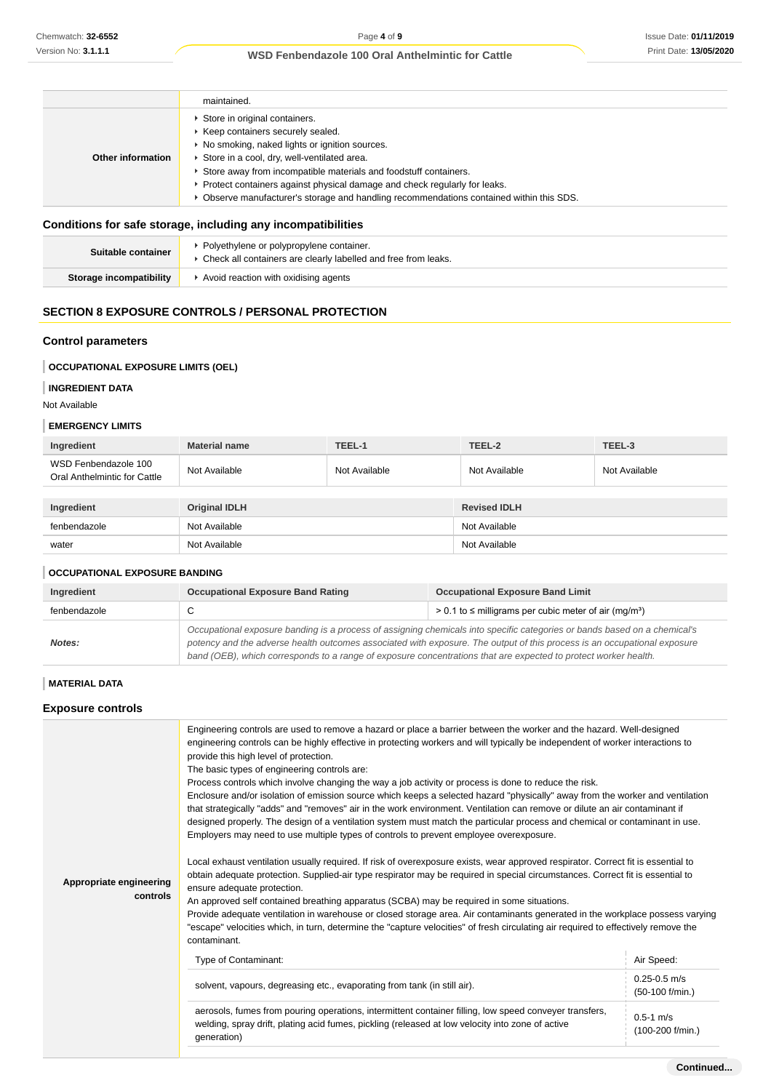### Issue Date: **01/11/2019** Print Date: **13/05/2020**

### **WSD Fenbendazole 100 Oral Anthelmintic for Cattle**

|                   | maintained.                                                                                                                                                                                                                                                                                                                                                                                                      |
|-------------------|------------------------------------------------------------------------------------------------------------------------------------------------------------------------------------------------------------------------------------------------------------------------------------------------------------------------------------------------------------------------------------------------------------------|
| Other information | Store in original containers.<br>Keep containers securely sealed.<br>▶ No smoking, naked lights or ignition sources.<br>Store in a cool, dry, well-ventilated area.<br>Store away from incompatible materials and foodstuff containers.<br>Protect containers against physical damage and check regularly for leaks.<br>▶ Observe manufacturer's storage and handling recommendations contained within this SDS. |

## **Conditions for safe storage, including any incompatibilities**

| Polyethylene or polypropylene container.<br>Suitable container<br>* Check all containers are clearly labelled and free from leaks. |                                      |
|------------------------------------------------------------------------------------------------------------------------------------|--------------------------------------|
| Storage incompatibility                                                                                                            | Avoid reaction with oxidising agents |

## **SECTION 8 EXPOSURE CONTROLS / PERSONAL PROTECTION**

### **Control parameters**

### **OCCUPATIONAL EXPOSURE LIMITS (OEL)**

## **INGREDIENT DATA**

Not Available

### **EMERGENCY LIMITS**

| Ingredient                                           | <b>Material name</b> | TEEL-1        | TEEL-2               | TEEL-3        |
|------------------------------------------------------|----------------------|---------------|----------------------|---------------|
| WSD Fenbendazole 100<br>Oral Anthelmintic for Cattle | Not Available        | Not Available | Not Available        | Not Available |
|                                                      |                      |               |                      |               |
| Ingradiant                                           | Original IDI H       |               | <b>Revised IDI H</b> |               |

| Ingredient   | <b>Original IDLH</b> | <b>Revised IDLH</b> |
|--------------|----------------------|---------------------|
| fenbendazole | Not Available        | Not Available       |
| water        | Not Available        | Not Available       |

### **OCCUPATIONAL EXPOSURE BANDING**

| Ingredient   | <b>Occupational Exposure Band Rating</b>                                                                                                                                                                                                                                                                                                                                 | <b>Occupational Exposure Band Limit</b> |
|--------------|--------------------------------------------------------------------------------------------------------------------------------------------------------------------------------------------------------------------------------------------------------------------------------------------------------------------------------------------------------------------------|-----------------------------------------|
| fenbendazole | $> 0.1$ to $\leq$ milligrams per cubic meter of air (mg/m <sup>3</sup> )<br>◡                                                                                                                                                                                                                                                                                            |                                         |
| Notes:       | Occupational exposure banding is a process of assigning chemicals into specific categories or bands based on a chemical's<br>potency and the adverse health outcomes associated with exposure. The output of this process is an occupational exposure<br>band (OEB), which corresponds to a range of exposure concentrations that are expected to protect worker health. |                                         |

### **MATERIAL DATA**

### **Exposure controls**

| Appropriate engineering<br>controls | engineering controls can be highly effective in protecting workers and will typically be independent of worker interactions to<br>provide this high level of protection.<br>The basic types of engineering controls are:<br>Process controls which involve changing the way a job activity or process is done to reduce the risk.<br>Enclosure and/or isolation of emission source which keeps a selected hazard "physically" away from the worker and ventilation<br>that strategically "adds" and "removes" air in the work environment. Ventilation can remove or dilute an air contaminant if<br>designed properly. The design of a ventilation system must match the particular process and chemical or contaminant in use.<br>Employers may need to use multiple types of controls to prevent employee overexposure.<br>Local exhaust ventilation usually required. If risk of overexposure exists, wear approved respirator. Correct fit is essential to<br>obtain adequate protection. Supplied-air type respirator may be required in special circumstances. Correct fit is essential to<br>ensure adequate protection.<br>An approved self contained breathing apparatus (SCBA) may be required in some situations.<br>Provide adequate ventilation in warehouse or closed storage area. Air contaminants generated in the workplace possess varying<br>"escape" velocities which, in turn, determine the "capture velocities" of fresh circulating air required to effectively remove the<br>contaminant. |                                     |  |
|-------------------------------------|----------------------------------------------------------------------------------------------------------------------------------------------------------------------------------------------------------------------------------------------------------------------------------------------------------------------------------------------------------------------------------------------------------------------------------------------------------------------------------------------------------------------------------------------------------------------------------------------------------------------------------------------------------------------------------------------------------------------------------------------------------------------------------------------------------------------------------------------------------------------------------------------------------------------------------------------------------------------------------------------------------------------------------------------------------------------------------------------------------------------------------------------------------------------------------------------------------------------------------------------------------------------------------------------------------------------------------------------------------------------------------------------------------------------------------------------------------------------------------------------------------------------|-------------------------------------|--|
|                                     | Type of Contaminant:                                                                                                                                                                                                                                                                                                                                                                                                                                                                                                                                                                                                                                                                                                                                                                                                                                                                                                                                                                                                                                                                                                                                                                                                                                                                                                                                                                                                                                                                                                 | Air Speed:                          |  |
|                                     | solvent, vapours, degreasing etc., evaporating from tank (in still air).                                                                                                                                                                                                                                                                                                                                                                                                                                                                                                                                                                                                                                                                                                                                                                                                                                                                                                                                                                                                                                                                                                                                                                                                                                                                                                                                                                                                                                             | $0.25 - 0.5$ m/s<br>(50-100 f/min.) |  |
|                                     | aerosols, fumes from pouring operations, intermittent container filling, low speed conveyer transfers,<br>welding, spray drift, plating acid fumes, pickling (released at low velocity into zone of active<br>generation)                                                                                                                                                                                                                                                                                                                                                                                                                                                                                                                                                                                                                                                                                                                                                                                                                                                                                                                                                                                                                                                                                                                                                                                                                                                                                            | $0.5 - 1$ m/s<br>(100-200 f/min.)   |  |
|                                     |                                                                                                                                                                                                                                                                                                                                                                                                                                                                                                                                                                                                                                                                                                                                                                                                                                                                                                                                                                                                                                                                                                                                                                                                                                                                                                                                                                                                                                                                                                                      |                                     |  |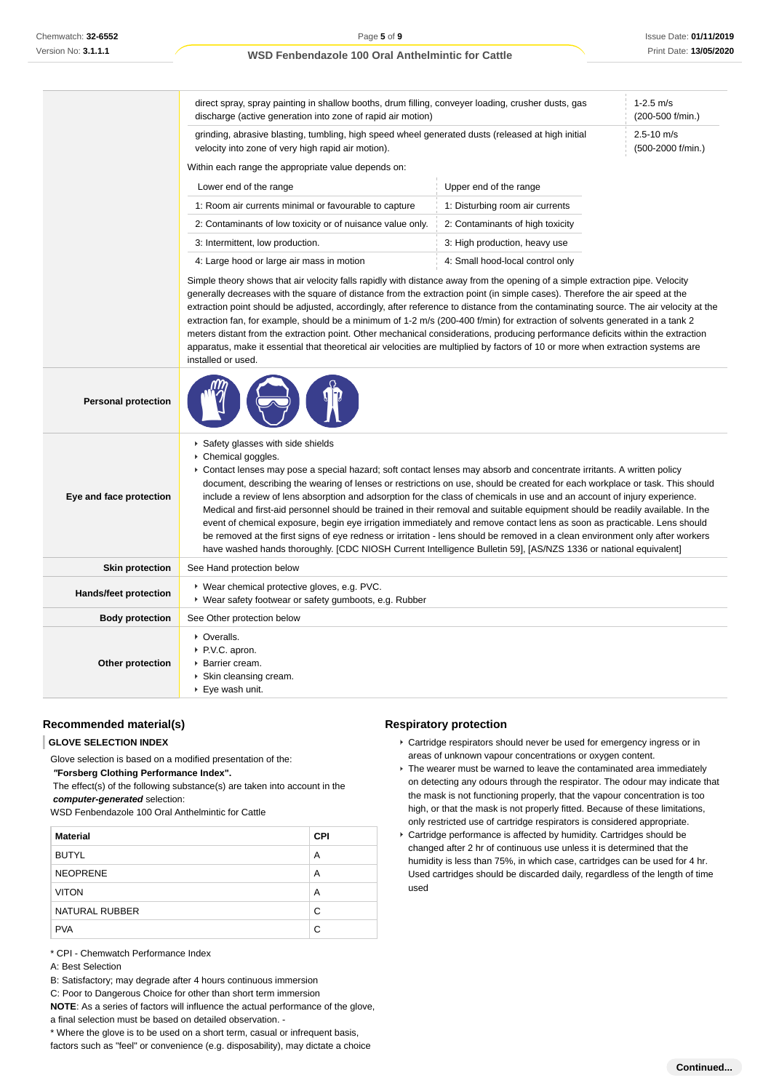|                            | direct spray, spray painting in shallow booths, drum filling, conveyer loading, crusher dusts, gas<br>discharge (active generation into zone of rapid air motion)                                                                                                                                                                                                                                                                                                                                                                                                                                                                                                                                                                                                                                                                 | $1-2.5$ m/s<br>(200-500 f/min.)  |                                     |  |
|----------------------------|-----------------------------------------------------------------------------------------------------------------------------------------------------------------------------------------------------------------------------------------------------------------------------------------------------------------------------------------------------------------------------------------------------------------------------------------------------------------------------------------------------------------------------------------------------------------------------------------------------------------------------------------------------------------------------------------------------------------------------------------------------------------------------------------------------------------------------------|----------------------------------|-------------------------------------|--|
|                            | grinding, abrasive blasting, tumbling, high speed wheel generated dusts (released at high initial<br>velocity into zone of very high rapid air motion).                                                                                                                                                                                                                                                                                                                                                                                                                                                                                                                                                                                                                                                                           |                                  | $2.5 - 10$ m/s<br>(500-2000 f/min.) |  |
|                            | Within each range the appropriate value depends on:                                                                                                                                                                                                                                                                                                                                                                                                                                                                                                                                                                                                                                                                                                                                                                               |                                  |                                     |  |
|                            | Lower end of the range                                                                                                                                                                                                                                                                                                                                                                                                                                                                                                                                                                                                                                                                                                                                                                                                            | Upper end of the range           |                                     |  |
|                            | 1: Room air currents minimal or favourable to capture                                                                                                                                                                                                                                                                                                                                                                                                                                                                                                                                                                                                                                                                                                                                                                             | 1: Disturbing room air currents  |                                     |  |
|                            | 2: Contaminants of low toxicity or of nuisance value only.                                                                                                                                                                                                                                                                                                                                                                                                                                                                                                                                                                                                                                                                                                                                                                        | 2: Contaminants of high toxicity |                                     |  |
|                            | 3: Intermittent, low production.                                                                                                                                                                                                                                                                                                                                                                                                                                                                                                                                                                                                                                                                                                                                                                                                  | 3: High production, heavy use    |                                     |  |
|                            | 4: Large hood or large air mass in motion                                                                                                                                                                                                                                                                                                                                                                                                                                                                                                                                                                                                                                                                                                                                                                                         | 4: Small hood-local control only |                                     |  |
|                            | Simple theory shows that air velocity falls rapidly with distance away from the opening of a simple extraction pipe. Velocity<br>generally decreases with the square of distance from the extraction point (in simple cases). Therefore the air speed at the<br>extraction point should be adjusted, accordingly, after reference to distance from the contaminating source. The air velocity at the<br>extraction fan, for example, should be a minimum of 1-2 m/s (200-400 f/min) for extraction of solvents generated in a tank 2<br>meters distant from the extraction point. Other mechanical considerations, producing performance deficits within the extraction<br>apparatus, make it essential that theoretical air velocities are multiplied by factors of 10 or more when extraction systems are<br>installed or used. |                                  |                                     |  |
| <b>Personal protection</b> |                                                                                                                                                                                                                                                                                                                                                                                                                                                                                                                                                                                                                                                                                                                                                                                                                                   |                                  |                                     |  |
|                            | Safety glasses with side shields<br>Chemical goggles.<br>▶ Contact lenses may pose a special hazard; soft contact lenses may absorb and concentrate irritants. A written policy                                                                                                                                                                                                                                                                                                                                                                                                                                                                                                                                                                                                                                                   |                                  |                                     |  |

| e and face protection        | document, describing the wearing of lenses or restrictions on use, should be created for each workplace or task. This should<br>include a review of lens absorption and adsorption for the class of chemicals in use and an account of injury experience.<br>Medical and first-aid personnel should be trained in their removal and suitable equipment should be readily available. In the<br>event of chemical exposure, begin eye irrigation immediately and remove contact lens as soon as practicable. Lens should<br>be removed at the first signs of eye redness or irritation - lens should be removed in a clean environment only after workers<br>have washed hands thoroughly. [CDC NIOSH Current Intelligence Bulletin 59], [AS/NZS 1336 or national equivalent] |
|------------------------------|-----------------------------------------------------------------------------------------------------------------------------------------------------------------------------------------------------------------------------------------------------------------------------------------------------------------------------------------------------------------------------------------------------------------------------------------------------------------------------------------------------------------------------------------------------------------------------------------------------------------------------------------------------------------------------------------------------------------------------------------------------------------------------|
| <b>Skin protection</b>       | See Hand protection below                                                                                                                                                                                                                                                                                                                                                                                                                                                                                                                                                                                                                                                                                                                                                   |
| <b>Hands/feet protection</b> | ▶ Wear chemical protective gloves, e.g. PVC.<br>▶ Wear safety footwear or safety gumboots, e.g. Rubber                                                                                                                                                                                                                                                                                                                                                                                                                                                                                                                                                                                                                                                                      |
| <b>Body protection</b>       | See Other protection below                                                                                                                                                                                                                                                                                                                                                                                                                                                                                                                                                                                                                                                                                                                                                  |
|                              |                                                                                                                                                                                                                                                                                                                                                                                                                                                                                                                                                                                                                                                                                                                                                                             |

| . .              |                                                                                                 |
|------------------|-------------------------------------------------------------------------------------------------|
| Other protection | • Overalls.<br>P.V.C. apron.<br>▶ Barrier cream.<br>▶ Skin cleansing cream.<br>▶ Eye wash unit. |
|                  |                                                                                                 |

## **Recommended material(s)**

### **GLOVE SELECTION INDEX**

**Eye** a

Glove selection is based on a modified presentation of the:

 **"Forsberg Clothing Performance Index".**

 The effect(s) of the following substance(s) are taken into account in the **computer-generated** selection:

WSD Fenbendazole 100 Oral Anthelmintic for Cattle

| <b>Material</b> | <b>CPI</b> |
|-----------------|------------|
| <b>BUTYL</b>    | A          |
| <b>NEOPRENE</b> | A          |
| <b>VITON</b>    | A          |
| NATURAL RUBBER  | С          |
| <b>PVA</b>      | С          |

\* CPI - Chemwatch Performance Index

- A: Best Selection
- B: Satisfactory; may degrade after 4 hours continuous immersion
- C: Poor to Dangerous Choice for other than short term immersion
- **NOTE**: As a series of factors will influence the actual performance of the glove, a final selection must be based on detailed observation. -
- \* Where the glove is to be used on a short term, casual or infrequent basis,

factors such as "feel" or convenience (e.g. disposability), may dictate a choice

## **Respiratory protection**

- Cartridge respirators should never be used for emergency ingress or in areas of unknown vapour concentrations or oxygen content.
- ▶ The wearer must be warned to leave the contaminated area immediately on detecting any odours through the respirator. The odour may indicate that the mask is not functioning properly, that the vapour concentration is too high, or that the mask is not properly fitted. Because of these limitations, only restricted use of cartridge respirators is considered appropriate.
- Cartridge performance is affected by humidity. Cartridges should be changed after 2 hr of continuous use unless it is determined that the humidity is less than 75%, in which case, cartridges can be used for 4 hr. Used cartridges should be discarded daily, regardless of the length of time used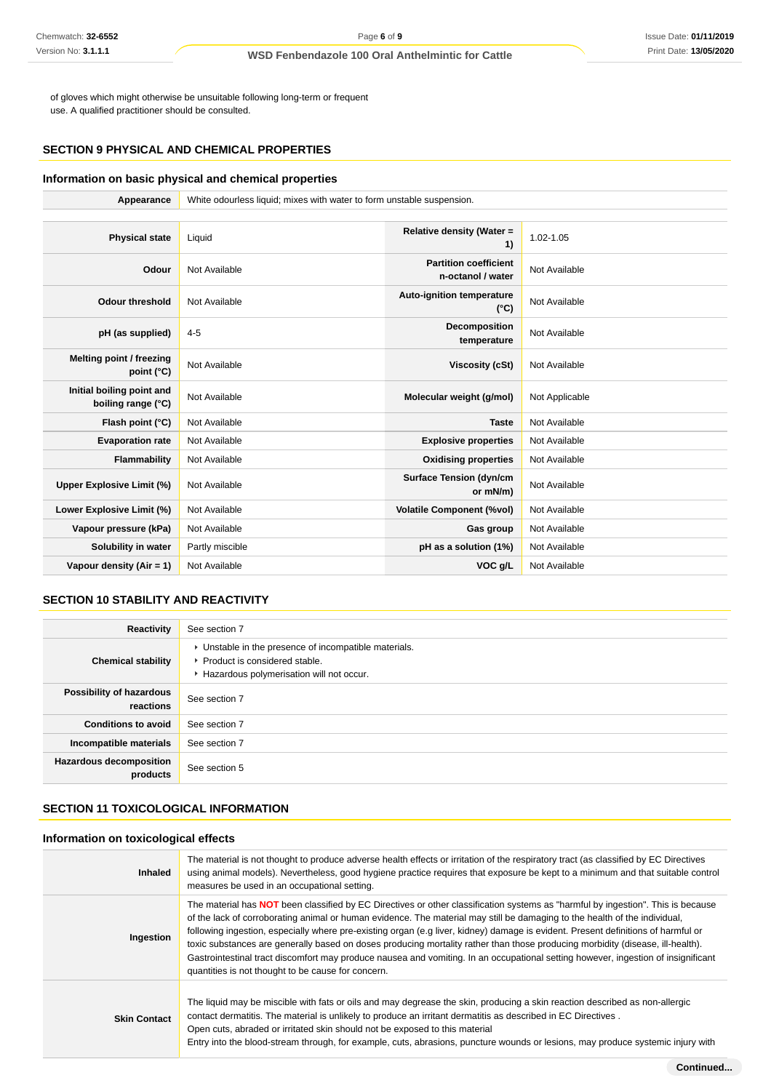of gloves which might otherwise be unsuitable following long-term or frequent use. A qualified practitioner should be consulted.

## **SECTION 9 PHYSICAL AND CHEMICAL PROPERTIES**

## **Information on basic physical and chemical properties**

| Appearance                                      | White odourless liquid; mixes with water to form unstable suspension. |                                                   |                |
|-------------------------------------------------|-----------------------------------------------------------------------|---------------------------------------------------|----------------|
|                                                 |                                                                       |                                                   |                |
| <b>Physical state</b>                           | Liquid                                                                | Relative density (Water =<br>1)                   | 1.02-1.05      |
| Odour                                           | Not Available                                                         | <b>Partition coefficient</b><br>n-octanol / water | Not Available  |
| <b>Odour threshold</b>                          | Not Available                                                         | Auto-ignition temperature<br>$(^{\circ}C)$        | Not Available  |
| pH (as supplied)                                | $4 - 5$                                                               | Decomposition<br>temperature                      | Not Available  |
| <b>Melting point / freezing</b><br>point (°C)   | Not Available                                                         | <b>Viscosity (cSt)</b>                            | Not Available  |
| Initial boiling point and<br>boiling range (°C) | Not Available                                                         | Molecular weight (g/mol)                          | Not Applicable |
| Flash point (°C)                                | Not Available                                                         | <b>Taste</b>                                      | Not Available  |
| <b>Evaporation rate</b>                         | Not Available                                                         | <b>Explosive properties</b>                       | Not Available  |
| Flammability                                    | Not Available                                                         | <b>Oxidising properties</b>                       | Not Available  |
| <b>Upper Explosive Limit (%)</b>                | Not Available                                                         | <b>Surface Tension (dyn/cm</b><br>or mN/m)        | Not Available  |
| Lower Explosive Limit (%)                       | Not Available                                                         | <b>Volatile Component (%vol)</b>                  | Not Available  |
| Vapour pressure (kPa)                           | Not Available                                                         | Gas group                                         | Not Available  |
| Solubility in water                             | Partly miscible                                                       | pH as a solution (1%)                             | Not Available  |
| Vapour density (Air = 1)                        | Not Available                                                         | VOC g/L                                           | Not Available  |

## **SECTION 10 STABILITY AND REACTIVITY**

| Reactivity                                 | See section 7                                                                                                                        |
|--------------------------------------------|--------------------------------------------------------------------------------------------------------------------------------------|
| <b>Chemical stability</b>                  | • Unstable in the presence of incompatible materials.<br>▶ Product is considered stable.<br>Hazardous polymerisation will not occur. |
| Possibility of hazardous<br>reactions      | See section 7                                                                                                                        |
| <b>Conditions to avoid</b>                 | See section 7                                                                                                                        |
| Incompatible materials                     | See section 7                                                                                                                        |
| <b>Hazardous decomposition</b><br>products | See section 5                                                                                                                        |

## **SECTION 11 TOXICOLOGICAL INFORMATION**

### **Information on toxicological effects**

| <b>Inhaled</b>      | The material is not thought to produce adverse health effects or irritation of the respiratory tract (as classified by EC Directives<br>using animal models). Nevertheless, good hygiene practice requires that exposure be kept to a minimum and that suitable control<br>measures be used in an occupational setting.                                                                                                                                                                                                                                                                                                                                                                                                                 |
|---------------------|-----------------------------------------------------------------------------------------------------------------------------------------------------------------------------------------------------------------------------------------------------------------------------------------------------------------------------------------------------------------------------------------------------------------------------------------------------------------------------------------------------------------------------------------------------------------------------------------------------------------------------------------------------------------------------------------------------------------------------------------|
| Ingestion           | The material has <b>NOT</b> been classified by EC Directives or other classification systems as "harmful by ingestion". This is because<br>of the lack of corroborating animal or human evidence. The material may still be damaging to the health of the individual,<br>following ingestion, especially where pre-existing organ (e.g liver, kidney) damage is evident. Present definitions of harmful or<br>toxic substances are generally based on doses producing mortality rather than those producing morbidity (disease, ill-health).<br>Gastrointestinal tract discomfort may produce nausea and vomiting. In an occupational setting however, ingestion of insignificant<br>quantities is not thought to be cause for concern. |
| <b>Skin Contact</b> | The liquid may be miscible with fats or oils and may degrease the skin, producing a skin reaction described as non-allergic<br>contact dermatitis. The material is unlikely to produce an irritant dermatitis as described in EC Directives.<br>Open cuts, abraded or irritated skin should not be exposed to this material<br>Entry into the blood-stream through, for example, cuts, abrasions, puncture wounds or lesions, may produce systemic injury with                                                                                                                                                                                                                                                                          |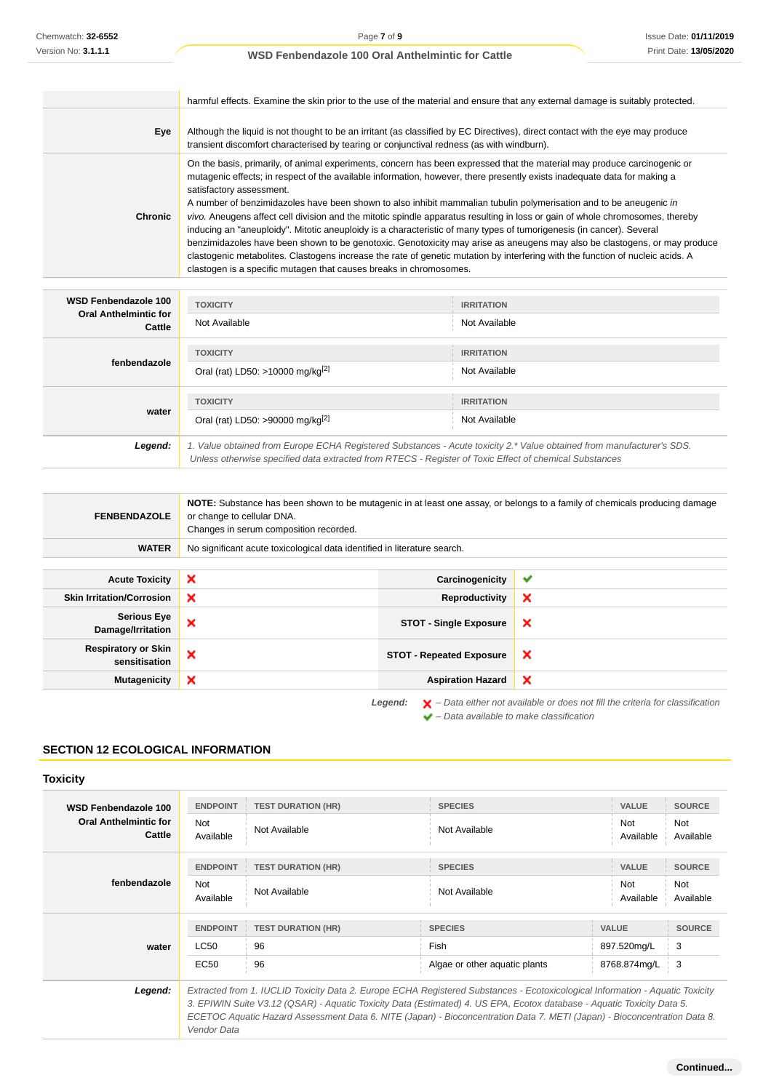÷.

### **WSD Fenbendazole 100 Oral Anthelmintic for Cattle**

|                | harmful effects. Examine the skin prior to the use of the material and ensure that any external damage is suitably protected.                                                                                                                                                                                                                                                                                                                                                                                                                                                                                                                                                                                                                                                                                                                                                                                                                                                                        |
|----------------|------------------------------------------------------------------------------------------------------------------------------------------------------------------------------------------------------------------------------------------------------------------------------------------------------------------------------------------------------------------------------------------------------------------------------------------------------------------------------------------------------------------------------------------------------------------------------------------------------------------------------------------------------------------------------------------------------------------------------------------------------------------------------------------------------------------------------------------------------------------------------------------------------------------------------------------------------------------------------------------------------|
| Eye            | Although the liquid is not thought to be an irritant (as classified by EC Directives), direct contact with the eye may produce<br>transient discomfort characterised by tearing or conjunctival redness (as with windburn).                                                                                                                                                                                                                                                                                                                                                                                                                                                                                                                                                                                                                                                                                                                                                                          |
| <b>Chronic</b> | On the basis, primarily, of animal experiments, concern has been expressed that the material may produce carcinogenic or<br>mutagenic effects; in respect of the available information, however, there presently exists inadequate data for making a<br>satisfactory assessment.<br>A number of benzimidazoles have been shown to also inhibit mammalian tubulin polymerisation and to be aneugenic in<br>vivo. Aneugens affect cell division and the mitotic spindle apparatus resulting in loss or gain of whole chromosomes, thereby<br>inducing an "aneuploidy". Mitotic aneuploidy is a characteristic of many types of tumorigenesis (in cancer). Several<br>benzimidazoles have been shown to be genotoxic. Genotoxicity may arise as aneugens may also be clastogens, or may produce<br>clastogenic metabolites. Clastogens increase the rate of genetic mutation by interfering with the function of nucleic acids. A<br>clastogen is a specific mutagen that causes breaks in chromosomes. |

| <b>WSD Fenbendazole 100</b><br><b>Oral Anthelmintic for</b><br>Cattle | <b>TOXICITY</b><br>Not Available                                                                                                                                                                                                | <b>IRRITATION</b><br>Not Available |
|-----------------------------------------------------------------------|---------------------------------------------------------------------------------------------------------------------------------------------------------------------------------------------------------------------------------|------------------------------------|
| fenbendazole                                                          | <b>TOXICITY</b><br>Oral (rat) LD50: >10000 mg/kg <sup>[2]</sup>                                                                                                                                                                 | <b>IRRITATION</b><br>Not Available |
| water                                                                 | <b>TOXICITY</b><br>Oral (rat) LD50: >90000 mg/kg <sup>[2]</sup>                                                                                                                                                                 | <b>IRRITATION</b><br>Not Available |
| Legend:                                                               | 1. Value obtained from Europe ECHA Registered Substances - Acute toxicity 2.* Value obtained from manufacturer's SDS.<br>Unless otherwise specified data extracted from RTECS - Register of Toxic Effect of chemical Substances |                                    |

|                                                  | NOTE: Substance has been shown to be mutagenic in at least one assay, or belongs to a family of chemicals producing damage<br>or change to cellular DNA.<br>Changes in serum composition recorded. |                                 |                           |
|--------------------------------------------------|----------------------------------------------------------------------------------------------------------------------------------------------------------------------------------------------------|---------------------------------|---------------------------|
| <b>WATER</b>                                     | No significant acute toxicological data identified in literature search.                                                                                                                           |                                 |                           |
|                                                  |                                                                                                                                                                                                    |                                 |                           |
| ×<br><b>Acute Toxicity</b>                       |                                                                                                                                                                                                    | Carcinogenicity                 | ✔                         |
| ×<br><b>Skin Irritation/Corrosion</b>            |                                                                                                                                                                                                    | Reproductivity                  | ×                         |
| <b>Serious Eye</b><br>×<br>Damage/Irritation     |                                                                                                                                                                                                    | <b>STOT - Single Exposure</b>   | ×                         |
| <b>Respiratory or Skin</b><br>×<br>sensitisation |                                                                                                                                                                                                    | <b>STOT - Repeated Exposure</b> | $\boldsymbol{\mathsf{x}}$ |
| ×<br><b>Mutagenicity</b>                         |                                                                                                                                                                                                    | <b>Aspiration Hazard</b>        | $\boldsymbol{\mathsf{x}}$ |

Legend:  $\mathsf{X}$  - Data either not available or does not fill the criteria for classification  $\blacktriangleright$  – Data available to make classification

## **SECTION 12 ECOLOGICAL INFORMATION**

## **Toxicity**

| WSD Fenbendazole 100                   | <b>ENDPOINT</b>         | <b>TEST DURATION (HR)</b> | <b>SPECIES</b>                                                                                                                                                                                                                                                                                                                                                                      | <b>VALUE</b>     | <b>SOURCE</b>    |
|----------------------------------------|-------------------------|---------------------------|-------------------------------------------------------------------------------------------------------------------------------------------------------------------------------------------------------------------------------------------------------------------------------------------------------------------------------------------------------------------------------------|------------------|------------------|
| <b>Oral Anthelmintic for</b><br>Cattle | <b>Not</b><br>Available | Not Available             | Not Available                                                                                                                                                                                                                                                                                                                                                                       | Not<br>Available | Not<br>Available |
|                                        | <b>ENDPOINT</b>         | <b>TEST DURATION (HR)</b> | <b>SPECIES</b>                                                                                                                                                                                                                                                                                                                                                                      | <b>VALUE</b>     | <b>SOURCE</b>    |
| fenbendazole                           | Not<br>Available        | Not Available             | Not Available                                                                                                                                                                                                                                                                                                                                                                       | Not<br>Available | Not<br>Available |
|                                        | <b>ENDPOINT</b>         | <b>TEST DURATION (HR)</b> | <b>SPECIES</b>                                                                                                                                                                                                                                                                                                                                                                      | <b>VALUE</b>     | <b>SOURCE</b>    |
| water                                  | LC50                    | 96                        | Fish                                                                                                                                                                                                                                                                                                                                                                                | 897.520mg/L      | 3                |
|                                        | EC50                    | 96                        | Algae or other aquatic plants                                                                                                                                                                                                                                                                                                                                                       | 8768.874mg/L     | $\frac{1}{2}$ 3  |
| Legend:                                | Vendor Data             |                           | Extracted from 1. IUCLID Toxicity Data 2. Europe ECHA Registered Substances - Ecotoxicological Information - Aquatic Toxicity<br>3. EPIWIN Suite V3.12 (QSAR) - Aquatic Toxicity Data (Estimated) 4. US EPA, Ecotox database - Aquatic Toxicity Data 5.<br>ECETOC Aquatic Hazard Assessment Data 6. NITE (Japan) - Bioconcentration Data 7. METI (Japan) - Bioconcentration Data 8. |                  |                  |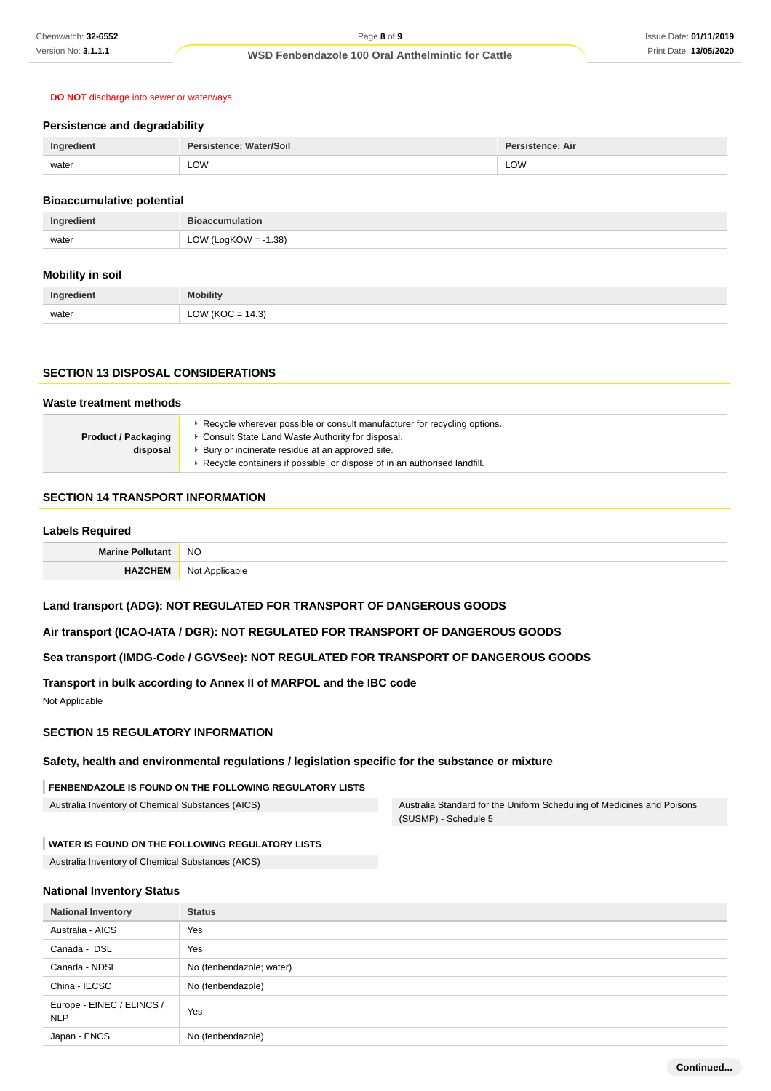### **DO NOT** discharge into sewer or waterways.

### **Persistence and degradability**

| Ingredient | Persistence: Water/Soil | Persistence: Air |
|------------|-------------------------|------------------|
| water      | LOW                     | LOW              |
|            |                         |                  |

### **Bioaccumulative potential**

| Ingredient | <b>Bioaccumulation</b>  |
|------------|-------------------------|
| water      | LOW (LogKOW = $-1.38$ ) |

#### **Mobility in soil**

| Ingredient | <b>Mobility</b>  |
|------------|------------------|
| water      | LOW (KOC = 14.3) |

### **SECTION 13 DISPOSAL CONSIDERATIONS**

#### **Waste treatment methods Product / Packaging disposal Recycle wherever possible or consult manufacturer for recycling options.** Consult State Land Waste Authority for disposal.

- Bury or incinerate residue at an approved site.
	- Recycle containers if possible, or dispose of in an authorised landfill.

## **SECTION 14 TRANSPORT INFORMATION**

### **Labels Required**

| <b>Marine</b> | <b>NO</b>                    |
|---------------|------------------------------|
|               | No.<br>"cable"<br>$\Delta$ n |

## **Land transport (ADG): NOT REGULATED FOR TRANSPORT OF DANGEROUS GOODS**

### **Air transport (ICAO-IATA / DGR): NOT REGULATED FOR TRANSPORT OF DANGEROUS GOODS**

## **Sea transport (IMDG-Code / GGVSee): NOT REGULATED FOR TRANSPORT OF DANGEROUS GOODS**

### **Transport in bulk according to Annex II of MARPOL and the IBC code**

Not Applicable

## **SECTION 15 REGULATORY INFORMATION**

### **Safety, health and environmental regulations / legislation specific for the substance or mixture**

### **FENBENDAZOLE IS FOUND ON THE FOLLOWING REGULATORY LISTS**

Australia Inventory of Chemical Substances (AICS) Australia Standard for the Uniform Scheduling of Medicines and Poisons (SUSMP) - Schedule 5

#### **WATER IS FOUND ON THE FOLLOWING REGULATORY LISTS**

Australia Inventory of Chemical Substances (AICS)

#### **National Inventory Status**

| <b>National Inventory</b>        | <b>Status</b>            |  |  |
|----------------------------------|--------------------------|--|--|
| Australia - AICS                 | Yes                      |  |  |
| Canada - DSL                     | Yes                      |  |  |
| Canada - NDSL                    | No (fenbendazole; water) |  |  |
| China - IECSC                    | No (fenbendazole)        |  |  |
| Europe - EINEC / ELINCS /<br>NLP | Yes                      |  |  |
| Japan - ENCS                     | No (fenbendazole)        |  |  |